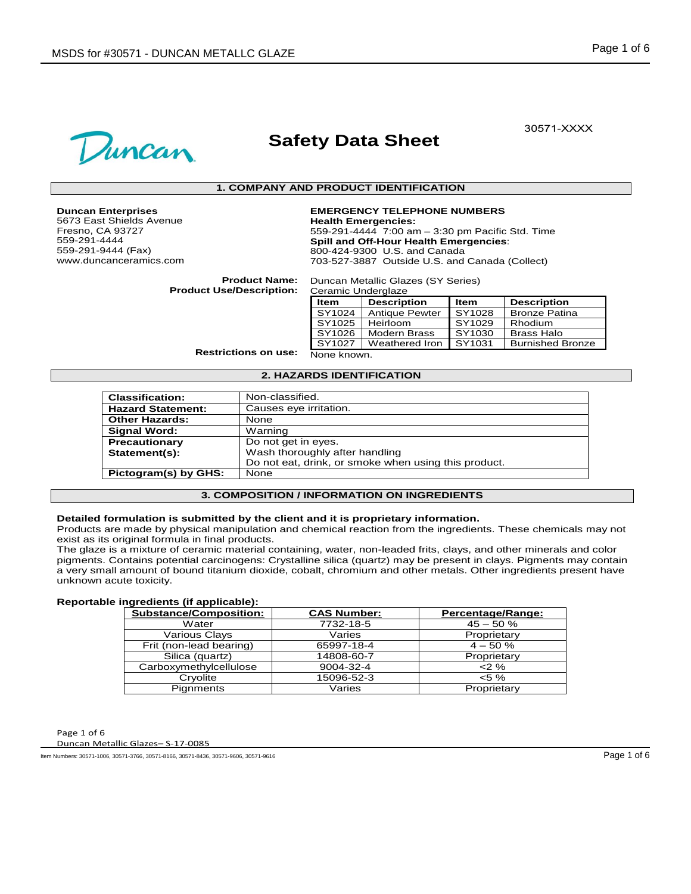

# **Safety Data Sheet**

30571-XXXX

#### **1. COMPANY AND PRODUCT IDENTIFICATION**

**Duncan Enterprises** 5673 East Shields Avenue Fresno, CA 93727 559-291-4444 559-291-9444 (Fax)

www.duncanceramics.com

# **EMERGENCY TELEPHONE NUMBERS**

**Health Emergencies:** 559-291-4444 7:00 am – 3:30 pm Pacific Std. Time **Spill and Off-Hour Health Emergencies**: 800-424-9300 U.S. and Canada 703-527-3887 Outside U.S. and Canada (Collect)

**Product Name: Product Use/Description:**

Duncan Metallic Glazes (SY Series) Ceramic Underglaze

| 501                         |                       |        |                         |
|-----------------------------|-----------------------|--------|-------------------------|
| ltem                        | <b>Description</b>    | Item   | <b>Description</b>      |
| $\overline{\text{SY}}$ 1024 | <b>Antique Pewter</b> | SY1028 | <b>Bronze Patina</b>    |
| SY1025                      | Heirloom              | SY1029 | Rhodium                 |
| SY1026                      | Modern Brass          | SY1030 | <b>Brass Halo</b>       |
| SY1027                      | Weathered Iron        | SY1031 | <b>Burnished Bronze</b> |
| None known.                 |                       |        |                         |

**Restrictions on use:**

#### **2. HAZARDS IDENTIFICATION**

| <b>Classification:</b>   | Non-classified.                                      |
|--------------------------|------------------------------------------------------|
| <b>Hazard Statement:</b> | Causes eye irritation.                               |
| <b>Other Hazards:</b>    | None                                                 |
| <b>Signal Word:</b>      | Warning                                              |
| Precautionary            | Do not get in eyes.                                  |
| Statement(s):            | Wash thoroughly after handling                       |
|                          | Do not eat, drink, or smoke when using this product. |
| Pictogram(s) by GHS:     | None                                                 |

#### **3. COMPOSITION / INFORMATION ON INGREDIENTS**

# **Detailed formulation is submitted by the client and it is proprietary information.**

Products are made by physical manipulation and chemical reaction from the ingredients. These chemicals may not exist as its original formula in final products.

The glaze is a mixture of ceramic material containing, water, non-leaded frits, clays, and other minerals and color pigments. Contains potential carcinogens: Crystalline silica (quartz) may be present in clays. Pigments may contain a very small amount of bound titanium dioxide, cobalt, chromium and other metals. Other ingredients present have unknown acute toxicity.

## **Reportable ingredients (if applicable):**

| <b>Substance/Composition:</b> | <b>CAS Number:</b> | Percentage/Range: |
|-------------------------------|--------------------|-------------------|
| Water                         | 7732-18-5          | $45 - 50%$        |
| Various Clays                 | Varies             | Proprietary       |
| Frit (non-lead bearing)       | 65997-18-4         | $4 - 50%$         |
| Silica (quartz)               | 14808-60-7         | Proprietary       |
| Carboxymethylcellulose        | 9004-32-4          | $2\%$             |
| Cryolite                      | 15096-52-3         | $< 5 \%$          |
| Pignments                     | Varies             | Proprietary       |

Page 1 of 6

Duncan Metallic Glazes– S-17-0085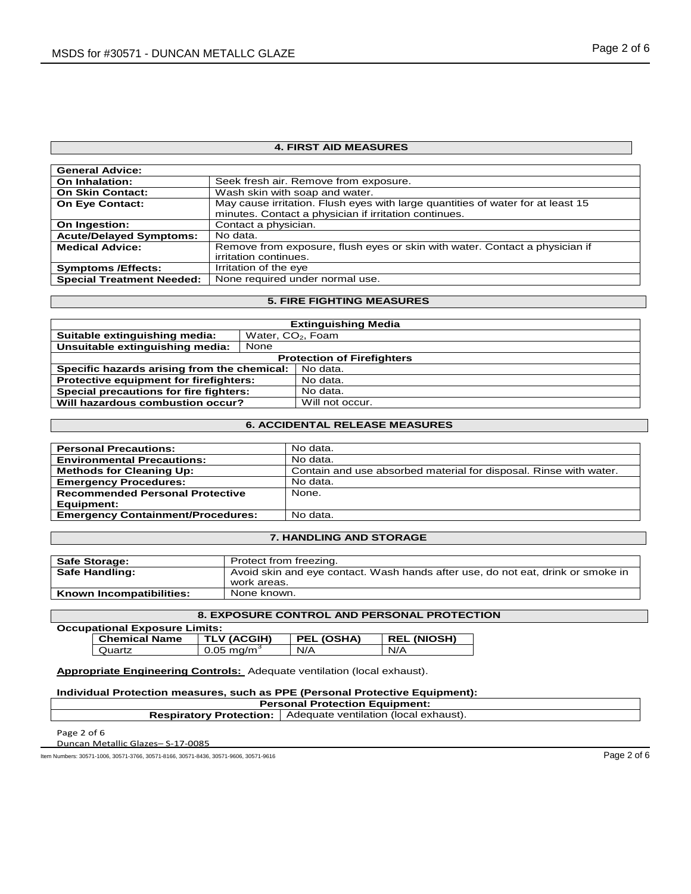# **4. FIRST AID MEASURES**

| <b>General Advice:</b>           |                                                                                 |
|----------------------------------|---------------------------------------------------------------------------------|
| On Inhalation:                   | Seek fresh air. Remove from exposure.                                           |
| <b>On Skin Contact:</b>          | Wash skin with soap and water.                                                  |
| <b>On Eye Contact:</b>           | May cause irritation. Flush eyes with large quantities of water for at least 15 |
|                                  | minutes. Contact a physician if irritation continues.                           |
| On Ingestion:                    | Contact a physician.                                                            |
| <b>Acute/Delayed Symptoms:</b>   | No data.                                                                        |
| <b>Medical Advice:</b>           | Remove from exposure, flush eyes or skin with water. Contact a physician if     |
|                                  | irritation continues.                                                           |
| <b>Symptoms /Effects:</b>        | Irritation of the eye                                                           |
| <b>Special Treatment Needed:</b> | None required under normal use.                                                 |

### **5. FIRE FIGHTING MEASURES**

| <b>Extinguishing Media</b>                    |      |                               |  |
|-----------------------------------------------|------|-------------------------------|--|
| Suitable extinguishing media:                 |      | Water, CO <sub>2</sub> , Foam |  |
| Unsuitable extinguishing media:               | None |                               |  |
| <b>Protection of Firefighters</b>             |      |                               |  |
| Specific hazards arising from the chemical:   |      | No data.                      |  |
| <b>Protective equipment for firefighters:</b> |      | No data.                      |  |
| Special precautions for fire fighters:        |      | No data.                      |  |
| Will hazardous combustion occur?              |      | Will not occur.               |  |

## **6. ACCIDENTAL RELEASE MEASURES**

| <b>Personal Precautions:</b>             | No data.                                                          |
|------------------------------------------|-------------------------------------------------------------------|
| <b>Environmental Precautions:</b>        | No data.                                                          |
| <b>Methods for Cleaning Up:</b>          | Contain and use absorbed material for disposal. Rinse with water. |
| <b>Emergency Procedures:</b>             | No data.                                                          |
| <b>Recommended Personal Protective</b>   | None.                                                             |
| Equipment:                               |                                                                   |
| <b>Emergency Containment/Procedures:</b> | No data.                                                          |
|                                          |                                                                   |

# **7. HANDLING AND STORAGE**

| <b>Safe Storage:</b>     | Protect from freezing.                                                          |
|--------------------------|---------------------------------------------------------------------------------|
| <b>Safe Handling:</b>    | Avoid skin and eye contact. Wash hands after use, do not eat, drink or smoke in |
|                          | work areas.                                                                     |
| Known Incompatibilities: | None known.                                                                     |

# **8. EXPOSURE CONTROL AND PERSONAL PROTECTION**

| <b>Occupational Exposure Limits:</b> |                      |                       |            |             |
|--------------------------------------|----------------------|-----------------------|------------|-------------|
|                                      | <b>Chemical Name</b> | <b>TLV (ACGIH)</b>    | PEL (OSHA) | REL (NIOSH) |
|                                      | Quartz               | $0.05 \text{ ma/m}^3$ | N/A        | N/A         |

# **Appropriate Engineering Controls:** Adequate ventilation (local exhaust).

**Individual Protection measures, such as PPE (Personal Protective Equipment):**

# **Personal Protection Equipment:**

**Respiratory Protection:** Adequate ventilation (local exhaust).

Page 2 of 6

Duncan Metallic Glazes– S-17-0085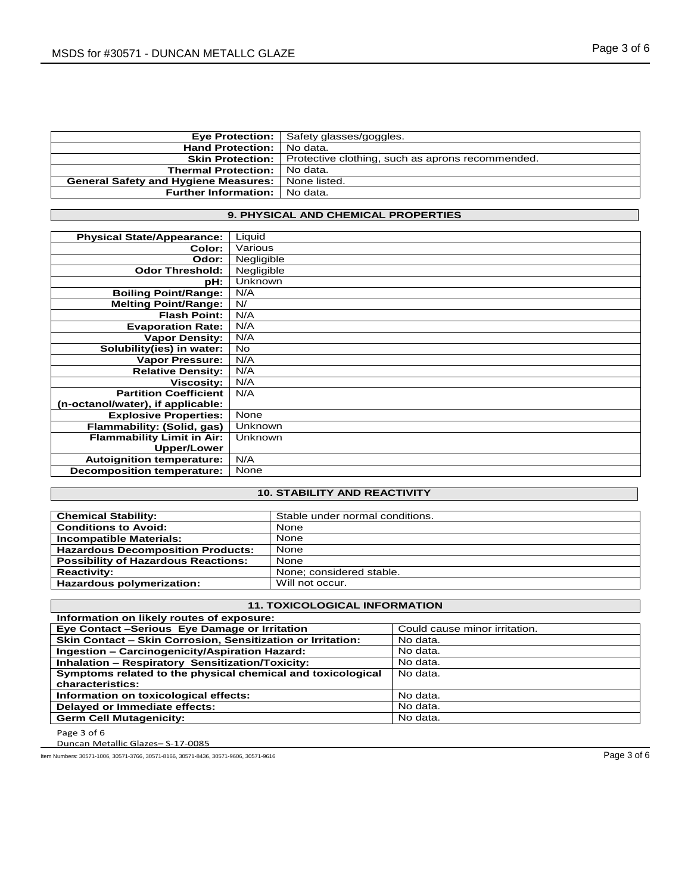|                                             | <b>Eye Protection:</b>   Safety glasses/goggles. |
|---------------------------------------------|--------------------------------------------------|
| <b>Hand Protection:</b>                     | No data.                                         |
| <b>Skin Protection:</b>                     | Protective clothing, such as aprons recommended. |
| <b>Thermal Protection:</b>                  | No data.                                         |
| <b>General Safety and Hygiene Measures:</b> | None listed.                                     |
| <b>Further Information:</b>                 | No data.                                         |
|                                             |                                                  |

# **9. PHYSICAL AND CHEMICAL PROPERTIES**

| <b>Physical State/Appearance:</b> | Liquid     |
|-----------------------------------|------------|
| Color:                            | Various    |
| Odor:                             | Negligible |
| <b>Odor Threshold:</b>            | Negligible |
| pH:                               | Unknown    |
| <b>Boiling Point/Range:</b>       | N/A        |
| <b>Melting Point/Range:</b>       | N/         |
| <b>Flash Point:</b>               | N/A        |
| <b>Evaporation Rate:</b>          | N/A        |
| <b>Vapor Density:</b>             | N/A        |
| Solubility(ies) in water:         | <b>No</b>  |
| <b>Vapor Pressure:</b>            | N/A        |
| <b>Relative Density:</b>          | N/A        |
| <b>Viscosity:</b>                 | N/A        |
| <b>Partition Coefficient</b>      | N/A        |
| (n-octanol/water), if applicable: |            |
| <b>Explosive Properties:</b>      | None       |
| Flammability: (Solid, gas)        | Unknown    |
| <b>Flammability Limit in Air:</b> | Unknown    |
| <b>Upper/Lower</b>                |            |
| <b>Autoignition temperature:</b>  | N/A        |
| <b>Decomposition temperature:</b> | None       |

# **10. STABILITY AND REACTIVITY**

| <b>Chemical Stability:</b>                 | Stable under normal conditions. |
|--------------------------------------------|---------------------------------|
| <b>Conditions to Avoid:</b>                | None                            |
| <b>Incompatible Materials:</b>             | None                            |
| <b>Hazardous Decomposition Products:</b>   | None                            |
| <b>Possibility of Hazardous Reactions:</b> | None                            |
| <b>Reactivity:</b>                         | None: considered stable.        |
| Hazardous polymerization:                  | Will not occur.                 |

# **11. TOXICOLOGICAL INFORMATION**

| Information on likely routes of exposure:                   |                               |  |
|-------------------------------------------------------------|-------------------------------|--|
| Eye Contact -Serious Eye Damage or Irritation               | Could cause minor irritation. |  |
| Skin Contact - Skin Corrosion, Sensitization or Irritation: | No data.                      |  |
| Ingestion - Carcinogenicity/Aspiration Hazard:              | No data.                      |  |
| <b>Inhalation - Respiratory Sensitization/Toxicity:</b>     | No data.                      |  |
| Symptoms related to the physical chemical and toxicological | No data.                      |  |
| characteristics:                                            |                               |  |
| Information on toxicological effects:                       | No data.                      |  |
| Delayed or Immediate effects:                               | No data.                      |  |
| <b>Germ Cell Mutagenicity:</b>                              | No data.                      |  |

Page 3 of 6

Duncan Metallic Glazes– S-17-0085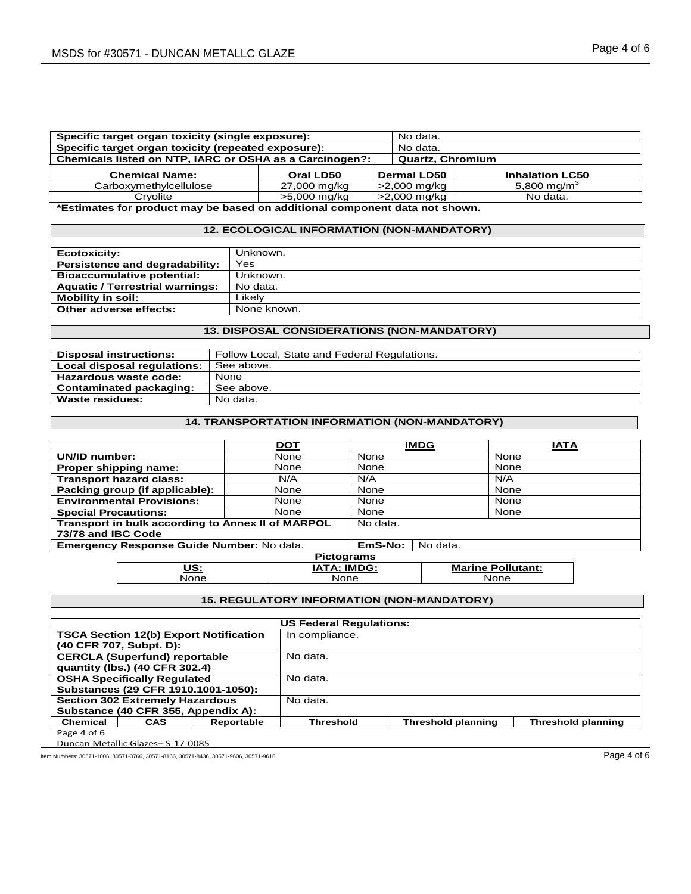| Specific target organ toxicity (single exposure):       | No data.     |                    |                         |  |
|---------------------------------------------------------|--------------|--------------------|-------------------------|--|
| Specific target organ toxicity (repeated exposure):     |              |                    | No data.                |  |
| Chemicals listed on NTP, IARC or OSHA as a Carcinogen?: |              |                    | <b>Quartz, Chromium</b> |  |
| <b>Chemical Name:</b>                                   | Oral LD50    | <b>Dermal LD50</b> | <b>Inhalation LC50</b>  |  |
| Carboxymethylcellulose                                  | 27,000 mg/kg | >2,000 mg/kg       | 5,800 mg/m <sup>3</sup> |  |
| Crvolite                                                | >5,000 mg/kg | >2,000 mg/kg       | No data.                |  |

**\*Estimates for product may be based on additional component data not shown.**

# **12. ECOLOGICAL INFORMATION (NON-MANDATORY)**

| Ecotoxicity:                           | Unknown.    |
|----------------------------------------|-------------|
| Persistence and degradability:         | Yes         |
| <b>Bioaccumulative potential:</b>      | Unknown.    |
| <b>Aquatic / Terrestrial warnings:</b> | No data.    |
| <b>Mobility in soil:</b>               | ∟ikel∨      |
| Other adverse effects:                 | None known. |
|                                        |             |

# **13. DISPOSAL CONSIDERATIONS (NON-MANDATORY)**

| <b>Disposal instructions:</b>  | Follow Local, State and Federal Regulations. |
|--------------------------------|----------------------------------------------|
| Local disposal regulations:    | See above.                                   |
| Hazardous waste code:          | None                                         |
| <b>Contaminated packaging:</b> | See above.                                   |
| Waste residues:                | No data.                                     |

# **14. TRANSPORTATION INFORMATION (NON-MANDATORY)**

|                                                   |                                  | <b>DOT</b>         |          | <b>IMDG</b>              | <b>IATA</b> |  |
|---------------------------------------------------|----------------------------------|--------------------|----------|--------------------------|-------------|--|
| UN/ID number:                                     |                                  | None               | None     |                          | None        |  |
|                                                   | Proper shipping name:            | None               | None     |                          | None        |  |
|                                                   | <b>Transport hazard class:</b>   | N/A                | N/A      |                          | N/A         |  |
|                                                   | Packing group (if applicable):   | None               | None     |                          | None        |  |
|                                                   | <b>Environmental Provisions:</b> | None               | None     |                          | None        |  |
| <b>Special Precautions:</b>                       |                                  | None               | None     |                          | None        |  |
| Transport in bulk according to Annex II of MARPOL |                                  | No data.           |          |                          |             |  |
| 73/78 and IBC Code                                |                                  |                    |          |                          |             |  |
| Emergency Response Guide Number: No data.         |                                  | EmS-No:            | No data. |                          |             |  |
| <b>Pictograms</b>                                 |                                  |                    |          |                          |             |  |
|                                                   | US:                              | <b>IATA: IMDG:</b> |          | <b>Marine Pollutant:</b> |             |  |

None None None

# **15. REGULATORY INFORMATION (NON-MANDATORY)**

| <b>US Federal Regulations:</b> |                                               |            |                |                           |                           |  |
|--------------------------------|-----------------------------------------------|------------|----------------|---------------------------|---------------------------|--|
|                                | <b>TSCA Section 12(b) Export Notification</b> |            | In compliance. |                           |                           |  |
|                                | (40 CFR 707, Subpt. D):                       |            |                |                           |                           |  |
|                                | <b>CERCLA (Superfund) reportable</b>          |            | No data.       |                           |                           |  |
|                                | quantity (lbs.) (40 CFR 302.4)                |            |                |                           |                           |  |
|                                | <b>OSHA Specifically Requlated</b>            |            | No data.       |                           |                           |  |
|                                | Substances (29 CFR 1910.1001-1050):           |            |                |                           |                           |  |
|                                | <b>Section 302 Extremely Hazardous</b>        |            | No data.       |                           |                           |  |
|                                | Substance (40 CFR 355, Appendix A):           |            |                |                           |                           |  |
| <b>Chemical</b>                | CAS                                           | Reportable | Threshold      | <b>Threshold planning</b> | <b>Threshold planning</b> |  |
| Page 4 of 6                    |                                               |            |                |                           |                           |  |

Duncan Metallic Glazes– S-17-0085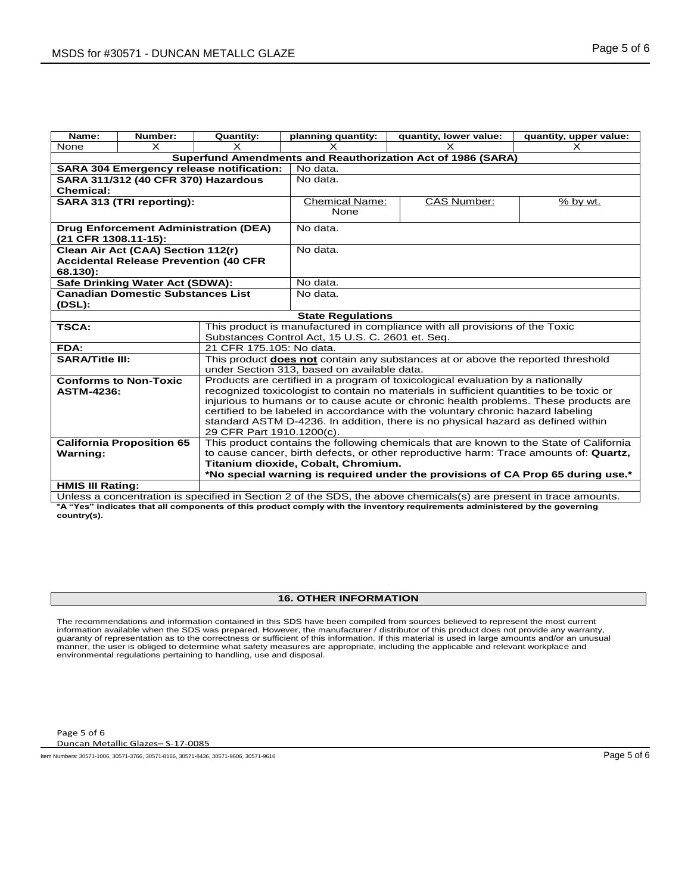| Name:                                           | Number:                                                     | <b>Quantity:</b>                                                                                                                                                         | planning quantity:                                                                     | quantity, lower value:                                                                                            | quantity, upper value: |  |
|-------------------------------------------------|-------------------------------------------------------------|--------------------------------------------------------------------------------------------------------------------------------------------------------------------------|----------------------------------------------------------------------------------------|-------------------------------------------------------------------------------------------------------------------|------------------------|--|
| None                                            | $\times$                                                    |                                                                                                                                                                          | $\times$                                                                               |                                                                                                                   | x                      |  |
|                                                 | Superfund Amendments and Reauthorization Act of 1986 (SARA) |                                                                                                                                                                          |                                                                                        |                                                                                                                   |                        |  |
| <b>SARA 304 Emergency release notification:</b> |                                                             |                                                                                                                                                                          | No data.                                                                               |                                                                                                                   |                        |  |
|                                                 | SARA 311/312 (40 CFR 370) Hazardous                         |                                                                                                                                                                          | No data.                                                                               |                                                                                                                   |                        |  |
| <b>Chemical:</b>                                |                                                             |                                                                                                                                                                          |                                                                                        |                                                                                                                   |                        |  |
|                                                 | SARA 313 (TRI reporting):                                   |                                                                                                                                                                          | <b>Chemical Name:</b>                                                                  | <b>CAS Number:</b>                                                                                                | $%$ by wt.             |  |
|                                                 |                                                             |                                                                                                                                                                          | None                                                                                   |                                                                                                                   |                        |  |
|                                                 |                                                             | <b>Drug Enforcement Administration (DEA)</b>                                                                                                                             | No data.                                                                               |                                                                                                                   |                        |  |
| (21 CFR 1308.11-15):                            |                                                             |                                                                                                                                                                          |                                                                                        |                                                                                                                   |                        |  |
|                                                 | Clean Air Act (CAA) Section 112(r)                          |                                                                                                                                                                          | No data.                                                                               |                                                                                                                   |                        |  |
|                                                 | <b>Accidental Release Prevention (40 CFR</b>                |                                                                                                                                                                          |                                                                                        |                                                                                                                   |                        |  |
| 68.130):                                        |                                                             |                                                                                                                                                                          |                                                                                        |                                                                                                                   |                        |  |
|                                                 | Safe Drinking Water Act (SDWA):                             |                                                                                                                                                                          | No data.                                                                               |                                                                                                                   |                        |  |
|                                                 | <b>Canadian Domestic Substances List</b>                    |                                                                                                                                                                          | No data.                                                                               |                                                                                                                   |                        |  |
| (DSL):                                          |                                                             |                                                                                                                                                                          |                                                                                        |                                                                                                                   |                        |  |
|                                                 |                                                             |                                                                                                                                                                          | <b>State Regulations</b>                                                               |                                                                                                                   |                        |  |
| <b>TSCA:</b>                                    |                                                             | This product is manufactured in compliance with all provisions of the Toxic                                                                                              |                                                                                        |                                                                                                                   |                        |  |
|                                                 |                                                             |                                                                                                                                                                          | Substances Control Act, 15 U.S. C. 2601 et. Seq.                                       |                                                                                                                   |                        |  |
| FDA:                                            |                                                             | 21 CFR 175.105: No data.                                                                                                                                                 |                                                                                        |                                                                                                                   |                        |  |
| <b>SARA/Title III:</b>                          |                                                             |                                                                                                                                                                          | This product <b>does not</b> contain any substances at or above the reported threshold |                                                                                                                   |                        |  |
|                                                 |                                                             | under Section 313, based on available data.                                                                                                                              |                                                                                        |                                                                                                                   |                        |  |
|                                                 | <b>Conforms to Non-Toxic</b>                                | Products are certified in a program of toxicological evaluation by a nationally                                                                                          |                                                                                        |                                                                                                                   |                        |  |
| <b>ASTM-4236:</b>                               |                                                             | recognized toxicologist to contain no materials in sufficient quantities to be toxic or                                                                                  |                                                                                        |                                                                                                                   |                        |  |
|                                                 |                                                             | injurious to humans or to cause acute or chronic health problems. These products are<br>certified to be labeled in accordance with the voluntary chronic hazard labeling |                                                                                        |                                                                                                                   |                        |  |
|                                                 |                                                             | standard ASTM D-4236. In addition, there is no physical hazard as defined within                                                                                         |                                                                                        |                                                                                                                   |                        |  |
|                                                 |                                                             | 29 CFR Part 1910.1200(c).                                                                                                                                                |                                                                                        |                                                                                                                   |                        |  |
|                                                 | <b>California Proposition 65</b>                            | This product contains the following chemicals that are known to the State of California                                                                                  |                                                                                        |                                                                                                                   |                        |  |
| <b>Warning:</b>                                 |                                                             |                                                                                                                                                                          |                                                                                        | to cause cancer, birth defects, or other reproductive harm: Trace amounts of: Quartz,                             |                        |  |
|                                                 |                                                             | Titanium dioxide, Cobalt, Chromium.                                                                                                                                      |                                                                                        |                                                                                                                   |                        |  |
|                                                 |                                                             | *No special warning is required under the provisions of CA Prop 65 during use.*                                                                                          |                                                                                        |                                                                                                                   |                        |  |
| <b>HMIS III Rating:</b>                         |                                                             |                                                                                                                                                                          |                                                                                        |                                                                                                                   |                        |  |
|                                                 |                                                             |                                                                                                                                                                          |                                                                                        | Unless a concentration is specified in Section 2 of the SDS, the above chemicals(s) are present in trace amounts. |                        |  |

**\*A "Yes" indicates that all components of this product comply with the inventory requirements administered by the governing country(s).**

## **16. OTHER INFORMATION**

The recommendations and information contained in this SDS have been compiled from sources believed to represent the most current information available when the SDS was prepared. However, the manufacturer / distributor of this product does not provide any warranty,<br>guaranty of representation as to the correctness or sufficient of this information. If environmental regulations pertaining to handling, use and disposal.

Page 5 of 6

Duncan Metallic Glazes– S-17-0085